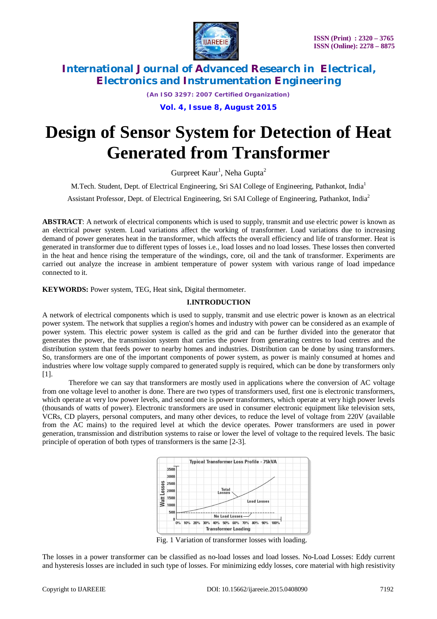

*(An ISO 3297: 2007 Certified Organization)*

**Vol. 4, Issue 8, August 2015**

# **Design of Sensor System for Detection of Heat Generated from Transformer**

Gurpreet Kaur<sup>1</sup>, Neha Gupta<sup>2</sup>

M.Tech. Student, Dept. of Electrical Engineering, Sri SAI College of Engineering, Pathankot, India<sup>1</sup>

Assistant Professor, Dept. of Electrical Engineering, Sri SAI College of Engineering, Pathankot, India<sup>2</sup>

**ABSTRACT**: A network of electrical components which is used to supply, transmit and use electric power is known as an electrical power system. Load variations affect the working of transformer. Load variations due to increasing demand of power generates heat in the transformer, which affects the overall efficiency and life of transformer. Heat is generated in transformer due to different types of losses i.e., load losses and no load losses. These losses then converted in the heat and hence rising the temperature of the windings, core, oil and the tank of transformer. Experiments are carried out analyze the increase in ambient temperature of power system with various range of load impedance connected to it.

**KEYWORDS:** Power system, TEG, Heat sink, Digital thermometer.

#### **I.INTRODUCTION**

A network of electrical components which is used to supply, transmit and use electric power is known as an electrical power system. The network that supplies a region's homes and industry with power can be considered as an example of power system. This electric power system is called as the grid and can be further divided into the generator that generates the power, the transmission system that carries the power from generating centres to load centres and the distribution system that feeds power to nearby homes and industries. Distribution can be done by using transformers. So, transformers are one of the important components of power system, as power is mainly consumed at homes and industries where low voltage supply compared to generated supply is required, which can be done by transformers only [1].

Therefore we can say that transformers are mostly used in applications where the conversion of AC voltage from one voltage level to another is done. There are two types of transformers used, first one is electronic transformers, which operate at very low power levels, and second one is power transformers, which operate at very high power levels (thousands of watts of power). Electronic transformers are used in consumer electronic equipment like television sets, VCRs, CD players, personal computers, and many other devices, to reduce the level of voltage from 220V (available from the AC mains) to the required level at which the device operates. Power transformers are used in power generation, transmission and distribution systems to raise or lower the level of voltage to the required levels. The basic principle of operation of both types of transformers is the same [2-3].



Fig. 1 Variation of transformer losses with loading.

The losses in a power transformer can be classified as no-load losses and load losses. No-Load Losses: Eddy current and hysteresis losses are included in such type of losses. For minimizing eddy losses, core material with high resistivity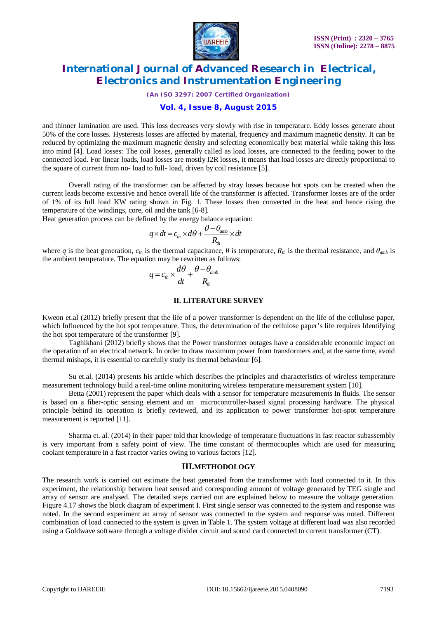

*(An ISO 3297: 2007 Certified Organization)*

### **Vol. 4, Issue 8, August 2015**

and thinner lamination are used. This loss decreases very slowly with rise in temperature. Eddy losses generate about 50% of the core losses. Hysteresis losses are affected by material, frequency and maximum magnetic density. It can be reduced by optimizing the maximum magnetic density and selecting economically best material while taking this loss into mind [4]. Load losses: The coil losses, generally called as load losses, are connected to the feeding power to the connected load. For linear loads, load losses are mostly I2R losses, it means that load losses are directly proportional to the square of current from no- load to full- load, driven by coil resistance [5].

Overall rating of the transformer can be affected by stray losses because hot spots can be created when the current leads become excessive and hence overall life of the transformer is affected. Transformer losses are of the order of 1% of its full load KW rating shown in Fig. 1. These losses then converted in the heat and hence rising the temperature of the windings, core, oil and the tank [6-8].

Heat generation process can be defined by the energy balance equation:

$$
q \times dt = c_{th} \times d\theta + \frac{\theta - \theta_{amb}}{R_{th}} \times dt
$$

where *q* is the heat generation,  $c_{th}$  is the thermal capacitance, θ is temperature,  $R_{th}$  is the thermal resistance, and  $θ_{amb}$  is the ambient temperature. The equation may be rewritten as follows:

$$
q = c_{th} \times \frac{d\theta}{dt} + \frac{\theta - \theta_{amb}}{R_{th}}
$$

#### **II. LITERATURE SURVEY**

Kweon et.al (2012) briefly present that the life of a power transformer is dependent on the life of the cellulose paper, which Influenced by the hot spot temperature. Thus, the determination of the cellulose paper's life requires Identifying the hot spot temperature of the transformer [9].

Taghikhani (2012) briefly shows that the Power transformer outages have a considerable economic impact on the operation of an electrical network. In order to draw maximum power from transformers and, at the same time, avoid thermal mishaps, it is essential to carefully study its thermal behaviour [6].

Su et.al. (2014) presents his article which describes the principles and characteristics of wireless temperature measurement technology build a real-time online monitoring wireless temperature measurement system [10].

Betta (2001) represent the paper which deals with a sensor for temperature measurements In fluids. The sensor is based on a fiber-optic sensing element and on microcontroller-based signal processing hardware. The physical principle behind its operation is briefly reviewed, and its application to power transformer hot-spot temperature measurement is reported [11].

Sharma et. al. (2014) in their paper told that knowledge of temperature fluctuations in fast reactor subassembly is very important from a safety point of view. The time constant of thermocouples which are used for measuring coolant temperature in a fast reactor varies owing to various factors [12].

#### **III.METHODOLOGY**

The research work is carried out estimate the heat generated from the transformer with load connected to it. In this experiment, the relationship between heat sensed and corresponding amount of voltage generated by TEG single and array of sensor are analysed. The detailed steps carried out are explained below to measure the voltage generation. Figure 4.17 shows the block diagram of experiment I. First single sensor was connected to the system and response was noted. In the second experiment an array of sensor was connected to the system and response was noted. Different combination of load connected to the system is given in Table 1. The system voltage at different load was also recorded using a Goldwave software through a voltage divider circuit and sound card connected to current transformer (CT).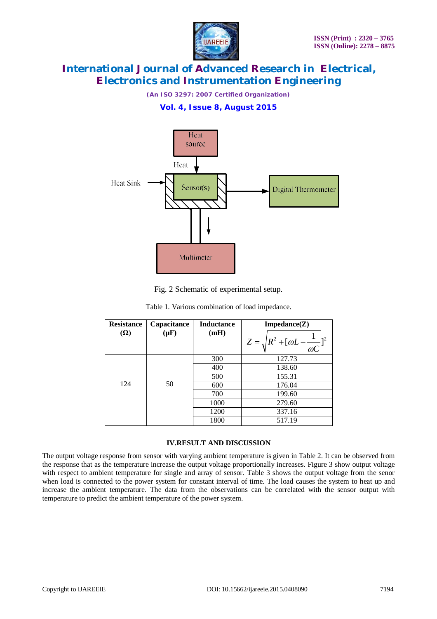

*(An ISO 3297: 2007 Certified Organization)*

## **Vol. 4, Issue 8, August 2015**



Fig. 2 Schematic of experimental setup.

| <b>Resistance</b><br>$(\Omega)$ | Capacitance<br>$(\mu F)$ | <b>Inductance</b><br>(mH) | $Impedance(Z)$                                       |
|---------------------------------|--------------------------|---------------------------|------------------------------------------------------|
|                                 |                          |                           | $Z = \sqrt{R^2 + [\omega L - \frac{1}{\omega C}]^2}$ |
| 124                             | 50                       | 300                       | 127.73                                               |
|                                 |                          | 400                       | 138.60                                               |
|                                 |                          | 500                       | 155.31                                               |
|                                 |                          | 600                       | 176.04                                               |
|                                 |                          | 700                       | 199.60                                               |
|                                 |                          | 1000                      | 279.60                                               |
|                                 |                          | 1200                      | 337.16                                               |
|                                 |                          | 1800                      | 517.19                                               |

Table 1. Various combination of load impedance.

#### **IV.RESULT AND DISCUSSION**

The output voltage response from sensor with varying ambient temperature is given in Table 2. It can be observed from the response that as the temperature increase the output voltage proportionally increases. Figure 3 show output voltage with respect to ambient temperature for single and array of sensor. Table 3 shows the output voltage from the senor when load is connected to the power system for constant interval of time. The load causes the system to heat up and increase the ambient temperature. The data from the observations can be correlated with the sensor output with temperature to predict the ambient temperature of the power system.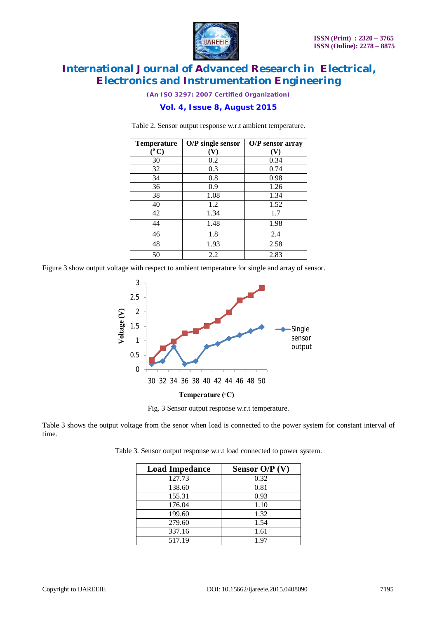

*(An ISO 3297: 2007 Certified Organization)*

## **Vol. 4, Issue 8, August 2015**

| <b>Temperature</b>        | O/P single sensor | O/P sensor array |
|---------------------------|-------------------|------------------|
| $(^\mathrm{o}\mathrm{C})$ | V)                |                  |
| 30                        | 0.2               | 0.34             |
| 32                        | 0.3               | 0.74             |
| 34                        | 0.8               | 0.98             |
| 36                        | 0.9               | 1.26             |
| 38                        | 1.08              | 1.34             |
| 40                        | 1.2               | 1.52             |
| 42                        | 1.34              | 1.7              |
| 44                        | 1.48              | 1.98             |
| 46                        | 1.8               | 2.4              |
| 48                        | 1.93              | 2.58             |
| 50                        | 2.2               | 2.83             |

Table 2. Sensor output response w.r.t ambient temperature.

Figure 3 show output voltage with respect to ambient temperature for single and array of sensor.



Fig. 3 Sensor output response w.r.t temperature.

Table 3 shows the output voltage from the senor when load is connected to the power system for constant interval of time.

Table 3. Sensor output response w.r.t load connected to power system.

| <b>Load Impedance</b> | Sensor $O/P(V)$ |
|-----------------------|-----------------|
| 127.73                | 0.32            |
| 138.60                | 0.81            |
| 155.31                | 0.93            |
| 176.04                | 1.10            |
| 199.60                | 1.32            |
| 279.60                | 1.54            |
| 337.16                | 1.61            |
| 517.19                | 1.97            |